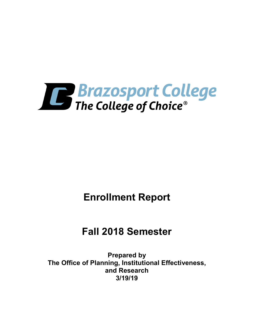

# **Enrollment Report**

# **Fall 2018 Semester**

**Prepared by The Office of Planning, Institutional Effectiveness, and Research 3/19/19**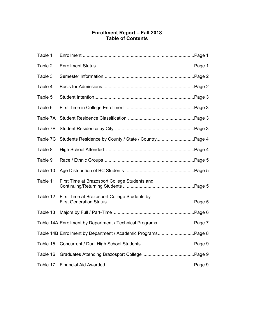# **Enrollment Report – Fall 2018 Table of Contents**

| Table 1  |                                                                |  |
|----------|----------------------------------------------------------------|--|
| Table 2  |                                                                |  |
| Table 3  |                                                                |  |
| Table 4  |                                                                |  |
| Table 5  |                                                                |  |
| Table 6  |                                                                |  |
| Table 7A |                                                                |  |
| Table 7B |                                                                |  |
| Table 7C | Students Residence by County / State / CountryPage 4           |  |
| Table 8  |                                                                |  |
| Table 9  |                                                                |  |
| Table 10 |                                                                |  |
| Table 11 | First Time at Brazosport College Students and                  |  |
| Table 12 | First Time at Brazosport College Students by                   |  |
| Table 13 |                                                                |  |
|          | Table 14A Enrollment by Department / Technical Programs Page 7 |  |
|          | Table 14B Enrollment by Department / Academic ProgramsPage 8   |  |
| Table 15 |                                                                |  |
| Table 16 |                                                                |  |
| Table 17 |                                                                |  |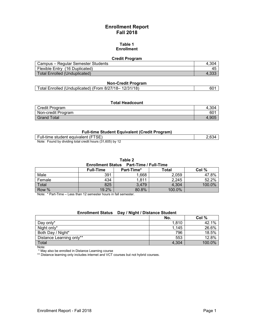# **Enrollment Report Fall 2018**

#### **Table 1 Enrollment**

#### **Credit Program**

| Campus – Regular Semester Students | 4.304 |
|------------------------------------|-------|
| Flexible Entry (16 Duplicated)     |       |
| Total Enrolled (Unduplicated)      |       |

#### **Non-Credit Program**

#### **Total Headcount**

| Credit Program     | .304            |
|--------------------|-----------------|
| Non-credit Program | 60 <sup>4</sup> |
| <b>Grand Total</b> | 1.90.           |

#### **Full-time Student Equivalent (Credit Program)**

| Full-time student equivalent (FTSE)                       | .634 |
|-----------------------------------------------------------|------|
| Found by dividing total credit hours (31 605) by<br>Note: |      |

Note: Found by dividing total credit hours (31,605) by 12

#### **Table 2**

#### **Enrollment Status Part-Time / Full-Time**

|        | <b>Full-Time</b> | Part-Time* | Total  | Col %  |
|--------|------------------|------------|--------|--------|
| Male   | 391              | 1,668      | 2,059  | 47.8%  |
| Female | 434              | 1,811      | 2,245  | 52.2%  |
| Total  | 825              | 3,479      | 4,304  | 100.0% |
| Row %  | 19.2%            | 80.8%      | 100.0% |        |

Note: \* Part-Time – Less than 12 semester hours in fall semester.

## **Enrollment Status Day / Night / Distance Student**

|                          | No.   | Col %  |
|--------------------------|-------|--------|
| Day only*                | 1,810 | 42.1%  |
| Night only*              | 1,145 | 26.6%  |
| Both Day / Night*        | 796   | 18.5%  |
| Distance Learning only** | 553   | 12.8%  |
| Total                    | 4,304 | 100.0% |

Note:

\* May also be enrolled in Distance Learning course

\*\* Distance learning only includes internet and VCT courses but not hybrid courses.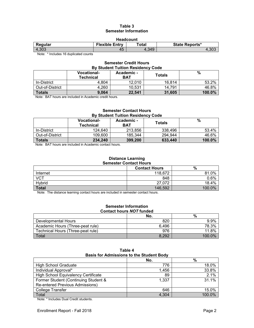## **Table 3 Semester Information**

| <b>Headcount</b>                                                   |    |       |       |  |
|--------------------------------------------------------------------|----|-------|-------|--|
| <b>Flexible Entry</b><br>Total<br><b>State Reports*</b><br>Regular |    |       |       |  |
| 4,303                                                              | 45 | 4.349 | 4,303 |  |

Note: \* Includes 16 duplicated counts

#### **Semester Credit Hours By Student Tuition Residency Code**

|                 | <b>Vocational-</b><br><b>Technical</b> | Academic -<br><b>BAT</b> | Totals | %         |
|-----------------|----------------------------------------|--------------------------|--------|-----------|
| In-District     | 4.804                                  | 12.010                   | 16.814 | 53.2%     |
| Out-of-District | 4.260                                  | 10.531                   | 14.791 | 46.8%     |
| <b>Totals</b>   | 9.064                                  | 22.541                   | 31.605 | $100.0\%$ |

Note: BAT hours are included in Academic credit hours.

#### **Semester Contact Hours By Student Tuition Residency Code**

|                 | <b>Vocational-</b><br>Technical | Academic -<br><b>BAT</b> | Totals  | $\%$   |
|-----------------|---------------------------------|--------------------------|---------|--------|
| In-District     | 124.640                         | 213.856                  | 338.496 | 53.4%  |
| Out-of-District | 109.600                         | 185.344                  | 294.944 | 46.6%  |
| <b>Totals</b>   | 234,240                         | 399,200                  | 633,440 | 100.0% |

Note: BAT hours are included in Academic contact hours.

#### **Distance Learning Semester Contact Hours**

|              | <b>Contact Hours</b> | %      |
|--------------|----------------------|--------|
| Internet     | 118,672              | 81.0%  |
| <b>VCT</b>   | 848                  | 0.6%   |
| Hybrid       | 27,072               | 18.4%  |
| <b>Total</b> | 146,592              | 100.0% |

Note: The distance learning contact hours are included in semester contact hours.

#### **Semester Information Contact hours** *NOT* **funded**

|                                   | No.   | %                  |
|-----------------------------------|-------|--------------------|
| Developmental Hours               | 820   | 9.9%               |
| Academic Hours (Three-peat rule)  | 6.496 | 78.3%              |
| Technical Hours (Three-peat rule) | 976   | 11.8%              |
| Total                             | 8.292 | 100.0 <sup>%</sup> |

| Table 4                                         |  |  |
|-------------------------------------------------|--|--|
| <b>Basis for Admissions to the Student Body</b> |  |  |
|                                                 |  |  |

|                                            | No.   | %      |
|--------------------------------------------|-------|--------|
| <b>High School Graduate</b>                | 776   | 18.0%  |
| Individual Approval*                       | 1,456 | 33.8%  |
| <b>High School Equivalency Certificate</b> | 89    | 2.1%   |
| Former Student (Continuing Student &       | 1,337 | 31.1%  |
| <b>Re-entered Previous Admissions)</b>     |       |        |
| <b>College Transfer</b>                    | 646   | 15.0%  |
| Total                                      | 4,304 | 100.0% |

Note: \* Includes Dual Credit students.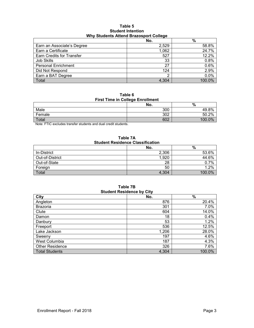#### **Table 5 Student Intention Why Students Attend Brazosport College**

|                                  | No.   | $\frac{0}{0}$ |
|----------------------------------|-------|---------------|
| Earn an Associate's Degree       | 2,529 | 58.8%         |
| Earn a Certificate               | 1,062 | 24.7%         |
| <b>Earn Credits for Transfer</b> | 527   | 12.2%         |
| Job Skills                       | 33    | 0.8%          |
| <b>Personal Enrichment</b>       | 27    | 0.6%          |
| Did Not Respond                  | 124   | 2.9%          |
| Earn a BAT Degree                | ◠     | 0.0%          |
| Total                            | 4.304 | 100.0%        |

**Table 6 First Time in College Enrollment**

|        | No. | %                            |
|--------|-----|------------------------------|
| Male   | 300 | 8%<br>49                     |
| Female | 302 | .2%<br>50.2                  |
| Total  | 602 | $\Omega$ <sup>o</sup><br>100 |

Note: FTIC excludes transfer students and dual credit students.

**Table 7A Student Residence Classification**

|                 | No.   | %      |
|-----------------|-------|--------|
| In-District     | 2,306 | 53.6%  |
| Out-of-District | 1,920 | 44.6%  |
| Out-of-State    | 28    | 0.7%   |
| Foreign         | 50    | .2%    |
| Total           | 4,304 | 100.0% |

**Table 7B Student Residence by City**

| ---                    |       |        |  |
|------------------------|-------|--------|--|
| <b>City</b>            | No.   | $\%$   |  |
| Angleton               | 876   | 20.4%  |  |
| <b>Brazoria</b>        | 301   | 7.0%   |  |
| Clute                  | 604   | 14.0%  |  |
| Damon                  | 18    | 0.4%   |  |
| Danbury                | 53    | 1.2%   |  |
| Freeport               | 536   | 12.5%  |  |
| Lake Jackson           | 1,206 | 28.0%  |  |
| Sweeny                 | 197   | 4.6%   |  |
| West Columbia          | 187   | 4.3%   |  |
| <b>Other Residence</b> | 326   | 7.6%   |  |
| <b>Total Students</b>  | 4,304 | 100.0% |  |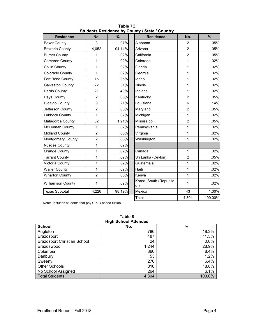| <b>Residence</b>       | No.            | $\%$   | <b>Residence</b>              | No.            | $\frac{9}{6}$ |
|------------------------|----------------|--------|-------------------------------|----------------|---------------|
| <b>Bexar County</b>    | 3              | .07%   | Alabama                       | $\overline{2}$ | .05%          |
| <b>Brazoria County</b> | 4,052          | 94.14% | Arizona                       | $\overline{2}$ | .05%          |
| <b>Burnet County</b>   | 1              | .02%   | California                    | $\overline{c}$ | .05%          |
| Cameron County         | 1              | .02%   | Colorado                      | 1              | .02%          |
| Collin County          | 1              | .02%   | Florida                       | 1              | .02%          |
| Colorado County        | 1              | .02%   | Georgia                       | $\mathbf{1}$   | .02%          |
| Fort Bend County       | 15             | .35%   | Idaho                         | 1              | .02%          |
| Galveston County       | 22             | .51%   | Illinois                      | 1              | .02%          |
| <b>Harris County</b>   | 21             | .49%   | Indiana                       | 1              | .02%          |
| <b>Hays County</b>     | $\overline{2}$ | .05%   | Kentucky                      | $\overline{2}$ | .05%          |
| <b>Hidalgo County</b>  | 9              | .21%   | Louisiana                     | 6              | .14%          |
| Jefferson County       | $\overline{2}$ | .05%   | Maryland                      | $\overline{2}$ | .05%          |
| <b>Lubbock County</b>  | 1              | .02%   | Michigan                      | 1              | .02%          |
| Matagorda County       | 82             | 1.91%  | Mississippi                   | $\overline{2}$ | .05%          |
| McLennan County        | 1              | .02%   | Pennsylvania                  | 1              | .02%          |
| <b>Midland County</b>  | $\overline{2}$ | .05%   | Virginia                      | $\mathbf{1}$   | .02%          |
| Montgomery County      | $\overline{2}$ | .05%   | Washington                    | 1              | .02%          |
| <b>Nueces County</b>   | 1              | .02%   |                               |                |               |
| Orange County          | 1              | .02%   | Canada                        | $\mathbf{1}$   | .02%          |
| <b>Tarrant County</b>  | 1              | .02%   | Sri Lanka (Ceylon)            | $\overline{2}$ | .05%          |
| Victoria County        | 1              | .02%   | Guatemala                     | 1              | .02%          |
| <b>Waller County</b>   | 1              | .02%   | Haiti                         | 1              | .02%          |
| <b>Wharton County</b>  | $\overline{2}$ | .05%   | Kenya                         | $\mathbf{1}$   | .02%          |
| Williamson County      | 1              | .02%   | Korea, South (Republic<br>of) | 1              | .02%          |
| <b>Texas Subtotal</b>  | 4,226          | 98.19% | Mexico                        | 43             | 1.00%         |
|                        |                |        | Total                         | 4,304          | 100.00%       |

**Table 7C Students Residence by County / State / Country**

Note: Includes students that pay C & D coded tuition.

#### **Table 8 High School Attended**

| <b>HIGH OCHOOL ALLOHUGU</b>        |       |        |  |
|------------------------------------|-------|--------|--|
| <b>School</b>                      | No.   | $\%$   |  |
| Angleton                           | 786   | 18.3%  |  |
| <b>Brazosport</b>                  | 487   | 11.3%  |  |
| <b>Brazosport Christian School</b> | 24    | 0.6%   |  |
| Brazoswood                         | 1,244 | 28.9%  |  |
| Columbia                           | 360   | 8.4%   |  |
| Danbury                            | 53    | 1.2%   |  |
| Sweeny                             | 276   | 6.4%   |  |
| <b>Other Schools</b>               | 810   | 18.8%  |  |
| No School Assigned                 | 264   | 6.1%   |  |
| <b>Total Students</b>              | 4,304 | 100.0% |  |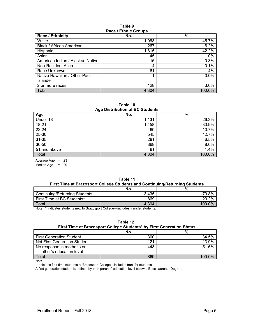#### **Table 9 Race / Ethnic Groups**

| $1.4000 + 1.11110 - 0.10000$     |       |        |  |
|----------------------------------|-------|--------|--|
| Race / Ethnicity                 | No.   | $\%$   |  |
| White                            | 1,968 | 45.7%  |  |
| Black / African American         | 267   | 6.2%   |  |
| Hispanic                         | 1,815 | 42.2%  |  |
| Asian                            | 45    | 1.0%   |  |
| American Indian / Alaskan Native | 15    | 0.3%   |  |
| Non-Resident Alien               | 4     | 0.1%   |  |
| Race Unknown                     | 61    | 1.4%   |  |
| Native Hawaiian / Other Pacific  |       | 0.0%   |  |
| <b>Islander</b>                  |       |        |  |
| 2 or more races                  | 128   | 3.0%   |  |
| Total                            | 4.304 | 100.0% |  |

**Table 10 Age Distribution of BC Students**

| $1.9$ - $-1.0$ . $-1.0$ and $-1.0$ . $-1.0$ . The set of $-1.0$ |       |        |  |
|-----------------------------------------------------------------|-------|--------|--|
| Age                                                             | No.   | %      |  |
| Under 18                                                        | 1,131 | 26.3%  |  |
| 18-21                                                           | 1,458 | 33.9%  |  |
| $22 - 24$                                                       | 460   | 10.7%  |  |
| 25-30                                                           | 545   | 12.7%  |  |
| $31 - 35$                                                       | 281   | 6.5%   |  |
| 36-50                                                           | 368   | 8.6%   |  |
| 51 and above                                                    | 61    | 1.4%   |  |
| Total                                                           | 4,304 | 100.0% |  |

Average Age = 23

Median Age  $= 20$ 

|                                                                             | Table 11 |  |
|-----------------------------------------------------------------------------|----------|--|
| First Time at Brazosport College Students and Continuing/Returning Students |          |  |
|                                                                             |          |  |

|                               | No.   | %      |
|-------------------------------|-------|--------|
| Continuing/Returning Students | 3,435 | 79.8%  |
| First Time at BC Students*    | 869   | 20.2%  |
| Total                         | 4.304 | 100.0% |

Note: \* Indicates students new to Brazosport College—includes transfer students.

#### **Table 12 First Time at Brazosport College Students\* by First Generation Status**

|                                 | No. | %      |
|---------------------------------|-----|--------|
| <b>First Generation Student</b> | 300 | 34.5%  |
| Not First Generation Student    | 121 | 13.9%  |
| No response in mother's or      | 448 | 51.6%  |
| father's education level        |     |        |
| Total                           | 869 | 100 0% |

Note:

\* Indicates first time students at Brazosport College—includes transfer students.

A first generation student is defined by both parents' education level below a Baccalaureate Degree.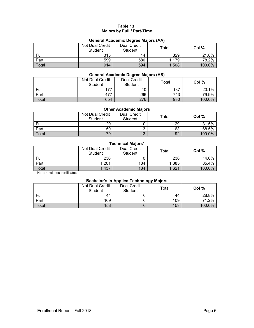# **Table 13 Majors by Full / Part-Time**

## **General Academic Degree Majors (AA)**

|       | Not Dual Credit | <b>Dual Credit</b> |       |        |
|-------|-----------------|--------------------|-------|--------|
|       | Student         | Student            | Total | Col %  |
| Full  | 315             | 14                 | 329   | 21.8%  |
| Part  | 599             | 580                | 1,179 | 78.2%  |
| Total | 914             | 594                | 1,508 | 100.0% |

## **General Academic Degree Majors (AS)**

|       | <b>Not Dual Credit</b><br>Student | Dual Credit<br>Student | $\tau$ otal | Col $%$ |
|-------|-----------------------------------|------------------------|-------------|---------|
| Full  | 177                               | 10                     | 187         | 20.1%   |
| Part  | 477                               | 266                    | 743         | 79.9%   |
| Total | 654                               | 276                    | 930         | 100.0%  |

#### **Other Academic Majors**

|              | Not Dual Credit<br><b>Student</b> | <b>Dual Credit</b><br>Student | $\tau$ otal | Col %  |
|--------------|-----------------------------------|-------------------------------|-------------|--------|
| Full         | 29                                |                               | 29          | 31.5%  |
| Part         | 50                                | 19                            | 63          | 68.5%  |
| <b>Total</b> | 79                                | 17                            | 92          | 100.0% |

# **Technical Majors\***

|       | Not Dual Credit<br>Student | <b>Dual Credit</b><br><b>Student</b> | $\mathsf{Total}$ | Col %  |
|-------|----------------------------|--------------------------------------|------------------|--------|
| Full  | 236                        |                                      | 236              | 14.6%  |
| Part  | 1,201                      | 184                                  | 1,385            | 85.4%  |
| Total | 1,437                      | 184                                  | 1,621            | 100.0% |

Note: \*Includes certificates.

#### **Bachelor's in Applied Technology Majors**

|       | Not Dual Credit<br>Student | <b>Dual Credit</b><br><b>Student</b> | Total | Col %  |
|-------|----------------------------|--------------------------------------|-------|--------|
| Full  | 44                         |                                      | 44    | 28.8%  |
| Part  | 109                        |                                      | 109   | 71.2%  |
| Total | 153                        |                                      | 153   | 100.0% |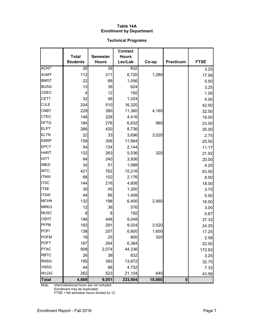## **Table 14A Enrollment by Department**

# **Technical Programs**

|              |                                 |                                 | <b>Contact</b>          |        |                  |             |
|--------------|---------------------------------|---------------------------------|-------------------------|--------|------------------|-------------|
|              | <b>Total</b><br><b>Students</b> | <b>Semester</b><br><b>Hours</b> | <b>Hours</b><br>Lec/Lab | Co-op  | <b>Practicum</b> | <b>FTSE</b> |
| <b>ACNT</b>  | 26                              | $\overline{39}$                 | 832                     |        |                  | 3.25        |
| <b>AUMT</b>  | 112                             | 211                             | 6,720                   | 1,280  |                  | 17.58       |
| <b>BMGT</b>  | 22                              | 66                              | 1,056                   |        |                  | 5.50        |
| <b>BUSG</b>  | 13                              | 39                              | 624                     |        |                  | 3.25        |
| CDEC         | 4                               | 12                              | 192                     |        |                  | 1.00        |
| <b>CETT</b>  | 32                              | 48                              | 1,024                   |        |                  | 4.00        |
| <b>CJLE</b>  | 204                             | 510                             | 16,320                  |        |                  | 42.50       |
| <b>CNBT</b>  | 229                             | 390                             | 11,360                  | 4,160  |                  | 32.50       |
| <b>CTEC</b>  | 146                             | 228                             | 4,416                   |        |                  | 19.00       |
| <b>DFTG</b>  | 184                             | 276                             | 6,832                   | 960    |                  | 23.00       |
| <b>ELPT</b>  | 266                             | 420                             | 8,736                   |        |                  | 35.00       |
| <b>ELTN</b>  | 22                              | 33                              | 3,696                   | 3,520  |                  | 2.75        |
| <b>EMSP</b>  | 159                             | 306                             | 11,664                  |        |                  | 25.50       |
| <b>EPCT</b>  | 54                              | 134                             | 2,144                   |        |                  | 11.17       |
| <b>HART</b>  | 132                             | 263                             | 5,536                   | 320    |                  | 21.92       |
| <b>HITT</b>  | 84                              | 240                             | 3,936                   |        |                  | 20.00       |
| <b>IMED</b>  | 34                              | 51                              | 1,088                   |        |                  | 4.25        |
| <b>INTC</b>  | 421                             | 762                             | 15,216                  |        |                  | 63.50       |
| <b>ITNW</b>  | 68                              | 102                             | 2,176                   |        |                  | 8.50        |
| <b>ITSC</b>  | 144                             | 216                             | 4,608                   |        |                  | 18.00       |
| <b>ITSE</b>  | 30                              | 45                              | 1,200                   |        |                  | 3.75        |
| <b>ITSW</b>  | 44                              | 66                              | 1,408                   |        |                  | 5.50        |
| <b>MCHN</b>  | 132                             | 198                             | 6,400                   | 2,560  |                  | 16.50       |
| <b>MRKG</b>  | 12                              | 36                              | 576                     |        |                  | 3.00        |
| <b>MUSC</b>  | 8                               | 8                               | 192                     |        |                  | 0.67        |
| <b>OSHT</b>  | 146                             | 448                             | 8,048                   |        |                  | 37.33       |
| PFPB         | 183                             | 291                             | 9,024                   | 3,520  |                  | 24.25       |
| <b>POFI</b>  | 138                             | 207                             | 6,800                   | 1,600  |                  | 17.25       |
| <b>POFM</b>  | 18                              | 25                              | 800                     | 320    |                  | 2.08        |
| <b>POFT</b>  | 167                             | 264                             | 6,384                   |        |                  | 22.00       |
| <b>PTAC</b>  | 908                             | 2,074                           | 44,336                  |        |                  | 172.83      |
| <b>RBTC</b>  | 26                              | 39                              | 832                     |        |                  | 3.25        |
| <b>RNSG</b>  | 195                             | 393                             | 13,872                  |        |                  | 32.75       |
| <b>VNSG</b>  | 44                              | 88                              | 4,752                   |        |                  | 7.33        |
| <b>WLDG</b>  | 262                             | 523                             | 21,104                  | 640    |                  | 43.58       |
| <b>Total</b> | 4,669                           | 9,051                           | 233,904                 | 18,880 | $\boldsymbol{0}$ |             |

Note: Interinstitutional hours are not included.

Enrollment may be duplicated.

FTSE = fall semester hours divided by 12.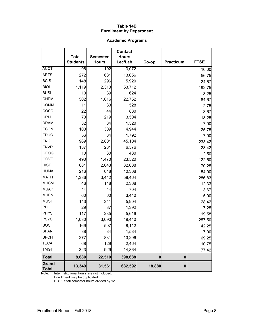## **Table 14B Enrollment by Department**

# **Academic Programs**

|                       | <b>Total</b>    | <b>Semester</b> | <b>Contact</b><br><b>Hours</b> |          |                  |             |
|-----------------------|-----------------|-----------------|--------------------------------|----------|------------------|-------------|
|                       | <b>Students</b> | <b>Hours</b>    | Lec/Lab                        | Co-op    | Practicum        | <b>FTSE</b> |
| <b>ACCT</b>           | 96              | 192             | 3,072                          |          |                  | 16.00       |
| <b>ARTS</b>           | 272             | 681             | 13,056                         |          |                  | 56.75       |
| <b>BCIS</b>           | 148             | 296             | 5,920                          |          |                  | 24.67       |
| <b>BIOL</b>           | 1,119           | 2,313           | 53,712                         |          |                  | 192.75      |
| <b>BUSI</b>           | 13              | 39              | 624                            |          |                  | 3.25        |
| <b>CHEM</b>           | 502             | 1,016           | 22,752                         |          |                  | 84.67       |
| <b>COMM</b>           | 11              | 33              | 528                            |          |                  | 2.75        |
| COSC                  | 22              | 44              | 880                            |          |                  | 3.67        |
| CRIJ                  | 73              | 219             | 3,504                          |          |                  | 18.25       |
| <b>DRAM</b>           | 32              | 84              | 1,520                          |          |                  | 7.00        |
| <b>ECON</b>           | 103             | 309             | 4,944                          |          |                  | 25.75       |
| <b>EDUC</b>           | 56              | 84              | 1,792                          |          |                  | 7.00        |
| <b>ENGL</b>           | 969             | 2,801           | 45,104                         |          |                  | 233.42      |
| <b>ENVR</b>           | 137             | 281             | 6,576                          |          |                  | 23.42       |
| <b>GEOG</b>           | 10              | 30              | 480                            |          |                  | 2.50        |
| GOVT                  | 490             | 1,470           | 23,520                         |          |                  | 122.50      |
| <b>HIST</b>           | 681             | 2,043           | 32,688                         |          |                  | 170.25      |
| <b>HUMA</b>           | 216             | 648             | 10,368                         |          |                  | 54.00       |
| <b>MATH</b>           | 1,386           | 3,442           | 58,464                         |          |                  | 286.83      |
| <b>MHSM</b>           | 46              | 148             | 2,368                          |          |                  | 12.33       |
| <b>MUAP</b>           | 44              | 44              | 704                            |          |                  | 3.67        |
| <b>MUEN</b>           | 60              | 60              | 3,440                          |          |                  | 5.00        |
| <b>MUSI</b>           | 143             | 341             | 5,904                          |          |                  | 28.42       |
| PHIL                  | 29              | 87              | 1,392                          |          |                  | 7.25        |
| <b>PHYS</b>           | 117             | 235             | 5,616                          |          |                  | 19.58       |
| PSYC                  | 1,030           | 3,090           | 49,440                         |          |                  | 257.50      |
| SOCI                  | 169             | 507             | 8,112                          |          |                  | 42.25       |
| <b>SPAN</b>           | 38              | 84              | 1,584                          |          |                  | 7.00        |
| <b>SPCH</b>           | 277             | 831             | 13,296                         |          |                  | 69.25       |
| <b>TECA</b>           | 68              | 129             | 2,464                          |          |                  | 10.75       |
| <b>TMGT</b>           | 323             | 929             | 14,864                         |          |                  | 77.42       |
| <b>Total</b>          | 8,680           | 22,510          | 398,688                        | $\bf{0}$ | $\boldsymbol{0}$ |             |
| Grand<br><b>Total</b> | 13,349          | 31,561          | 632,592                        | 18,880   | $\bf{0}$         |             |

Note: Interinstitutional hours are not included.

Enrollment may be duplicated.

FTSE = fall semester hours divided by 12.